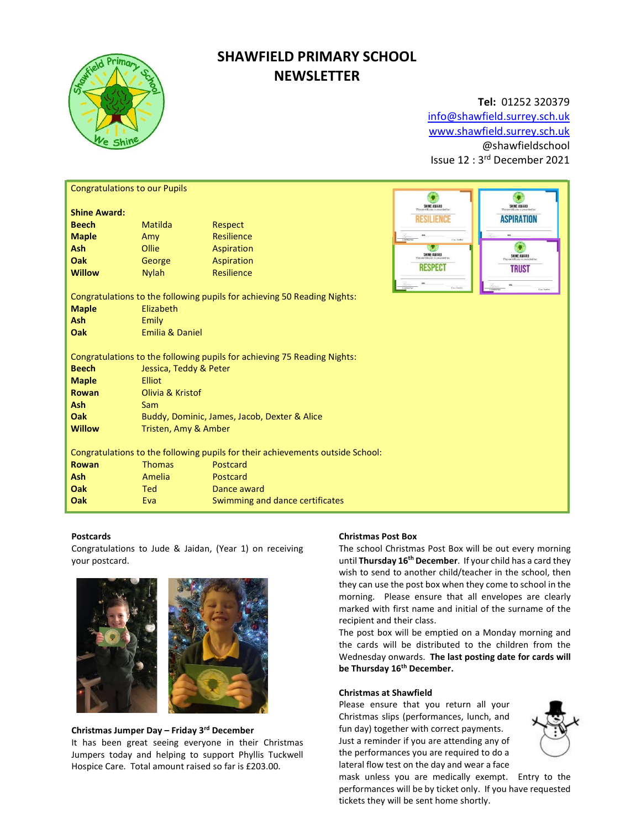

# SHAWFIELD PRIMARY SCHOOL **NEWSLETTER**

# Tel: 01252 320379

info@shawfield.surrey.sch.uk www.shawfield.surrey.sch.uk @shawfieldschool Issue 12 : 3rd December 2021

| <b>Congratulations to our Pupils</b>                                           |                                                                                                                                  |                                 |                             |                    |  |  |
|--------------------------------------------------------------------------------|----------------------------------------------------------------------------------------------------------------------------------|---------------------------------|-----------------------------|--------------------|--|--|
| <b>Shine Award:</b>                                                            |                                                                                                                                  |                                 | SHINE AWARD                 | <b>SHINE AWARD</b> |  |  |
| <b>Beech</b>                                                                   | Matilda                                                                                                                          | <b>Respect</b>                  | RESILIENCE                  | <b>ASPIRATION</b>  |  |  |
| <b>Maple</b>                                                                   | Amy                                                                                                                              | Resilience                      | Co-Sette<br><b>National</b> |                    |  |  |
| <b>Ash</b>                                                                     | Ollie                                                                                                                            | Aspiration                      |                             |                    |  |  |
| Oak                                                                            | George                                                                                                                           | Aspiration                      | <b>SHINE AWARD</b>          | SHINE AWARD        |  |  |
| <b>Willow</b>                                                                  | <b>Nylah</b>                                                                                                                     | Resilience                      | <b>RESPECT</b>              | <b>TRUST</b>       |  |  |
|                                                                                |                                                                                                                                  |                                 | <b>Courthout</b>            | Cay Serbs          |  |  |
| Congratulations to the following pupils for achieving 50 Reading Nights:       |                                                                                                                                  |                                 |                             |                    |  |  |
| <b>Maple</b>                                                                   | Elizabeth                                                                                                                        |                                 |                             |                    |  |  |
| <b>Ash</b>                                                                     | Emily                                                                                                                            |                                 |                             |                    |  |  |
| Oak                                                                            | <b>Emilia &amp; Daniel</b>                                                                                                       |                                 |                             |                    |  |  |
| <b>Beech</b><br><b>Maple</b><br>Rowan                                          | Congratulations to the following pupils for achieving 75 Reading Nights:<br>Jessica, Teddy & Peter<br>Elliot<br>Olivia & Kristof |                                 |                             |                    |  |  |
| Ash                                                                            | Sam                                                                                                                              |                                 |                             |                    |  |  |
| Oak                                                                            | Buddy, Dominic, James, Jacob, Dexter & Alice                                                                                     |                                 |                             |                    |  |  |
| <b>Willow</b>                                                                  | Tristen, Amy & Amber                                                                                                             |                                 |                             |                    |  |  |
|                                                                                |                                                                                                                                  |                                 |                             |                    |  |  |
| Congratulations to the following pupils for their achievements outside School: |                                                                                                                                  |                                 |                             |                    |  |  |
| Rowan                                                                          | <b>Thomas</b>                                                                                                                    | Postcard                        |                             |                    |  |  |
| <b>Ash</b>                                                                     | Amelia                                                                                                                           | Postcard                        |                             |                    |  |  |
| Oak                                                                            | <b>Ted</b>                                                                                                                       | Dance award                     |                             |                    |  |  |
| Oak                                                                            | Eva                                                                                                                              | Swimming and dance certificates |                             |                    |  |  |

# Postcards

Congratulations to Jude & Jaidan, (Year 1) on receiving your postcard.



# Christmas Jumper Day – Friday 3rd December

It has been great seeing everyone in their Christmas Jumpers today and helping to support Phyllis Tuckwell Hospice Care. Total amount raised so far is £203.00.

# Christmas Post Box

The school Christmas Post Box will be out every morning until Thursday 16<sup>th</sup> December. If your child has a card they wish to send to another child/teacher in the school, then they can use the post box when they come to school in the morning. Please ensure that all envelopes are clearly marked with first name and initial of the surname of the recipient and their class.

The post box will be emptied on a Monday morning and the cards will be distributed to the children from the Wednesday onwards. The last posting date for cards will be Thursday 16<sup>th</sup> December.

# Christmas at Shawfield

Please ensure that you return all your Christmas slips (performances, lunch, and fun day) together with correct payments. Just a reminder if you are attending any of the performances you are required to do a lateral flow test on the day and wear a face



mask unless you are medically exempt. Entry to the performances will be by ticket only. If you have requested tickets they will be sent home shortly.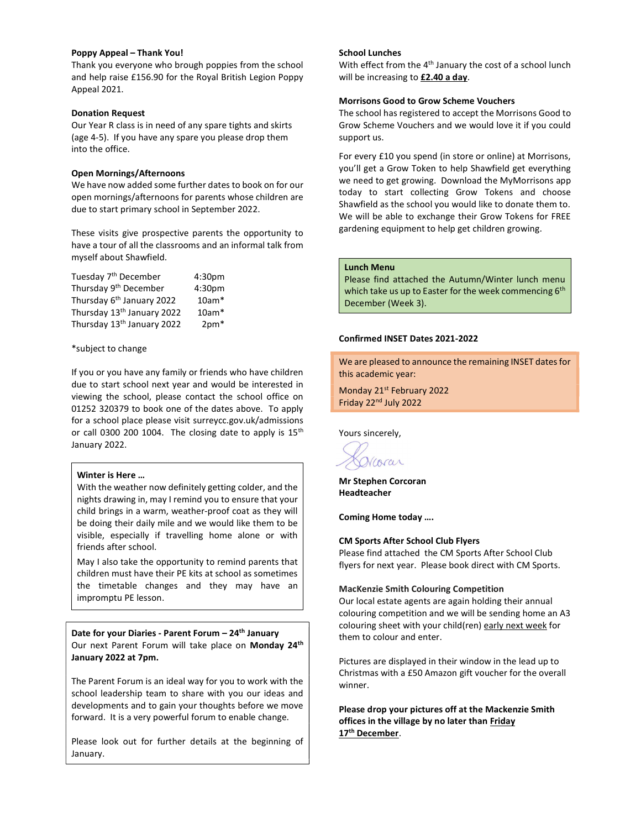# Poppy Appeal – Thank You!

Thank you everyone who brough poppies from the school and help raise £156.90 for the Royal British Legion Poppy Appeal 2021.

## Donation Request

Our Year R class is in need of any spare tights and skirts (age 4-5). If you have any spare you please drop them into the office.

## Open Mornings/Afternoons

We have now added some further dates to book on for our open mornings/afternoons for parents whose children are due to start primary school in September 2022.

These visits give prospective parents the opportunity to have a tour of all the classrooms and an informal talk from myself about Shawfield.

| Tuesday 7 <sup>th</sup> December       | 4:30 <sub>pm</sub> |
|----------------------------------------|--------------------|
| Thursday 9 <sup>th</sup> December      | 4:30pm             |
| Thursday 6 <sup>th</sup> January 2022  | $10am*$            |
| Thursday 13th January 2022             | $10am*$            |
| Thursday 13 <sup>th</sup> January 2022 | $2pm*$             |

## \*subject to change

If you or you have any family or friends who have children due to start school next year and would be interested in viewing the school, please contact the school office on 01252 320379 to book one of the dates above. To apply for a school place please visit surreycc.gov.uk/admissions or call 0300 200 1004. The closing date to apply is  $15<sup>th</sup>$ January 2022.

# Winter is Here …

With the weather now definitely getting colder, and the nights drawing in, may I remind you to ensure that your child brings in a warm, weather-proof coat as they will be doing their daily mile and we would like them to be visible, especially if travelling home alone or with friends after school.

May I also take the opportunity to remind parents that children must have their PE kits at school as sometimes the timetable changes and they may have an impromptu PE lesson.

Date for your Diaries - Parent Forum - 24<sup>th</sup> January Our next Parent Forum will take place on Monday 24<sup>th</sup> January 2022 at 7pm.

The Parent Forum is an ideal way for you to work with the school leadership team to share with you our ideas and developments and to gain your thoughts before we move forward. It is a very powerful forum to enable change.

Please look out for further details at the beginning of January.

# School Lunches

With effect from the  $4<sup>th</sup>$  January the cost of a school lunch will be increasing to £2.40 a day.

#### Morrisons Good to Grow Scheme Vouchers

The school has registered to accept the Morrisons Good to Grow Scheme Vouchers and we would love it if you could support us.

For every £10 you spend (in store or online) at Morrisons, you'll get a Grow Token to help Shawfield get everything we need to get growing. Download the MyMorrisons app today to start collecting Grow Tokens and choose Shawfield as the school you would like to donate them to. We will be able to exchange their Grow Tokens for FREE gardening equipment to help get children growing.

# Lunch Menu

Please find attached the Autumn/Winter lunch menu which take us up to Easter for the week commencing 6<sup>th</sup> December (Week 3).

#### Confirmed INSET Dates 2021-2022

We are pleased to announce the remaining INSET dates for this academic year:

Monday 21<sup>st</sup> February 2022 Friday 22nd July 2022

Yours sincerely,

Narar

Mr Stephen Corcoran Headteacher

Coming Home today ….

#### CM Sports After School Club Flyers

Please find attached the CM Sports After School Club flyers for next year. Please book direct with CM Sports.

#### MacKenzie Smith Colouring Competition

Our local estate agents are again holding their annual colouring competition and we will be sending home an A3 colouring sheet with your child(ren) early next week for them to colour and enter.

Pictures are displayed in their window in the lead up to Christmas with a £50 Amazon gift voucher for the overall winner.

Please drop your pictures off at the Mackenzie Smith offices in the village by no later than Friday 17<sup>th</sup> December.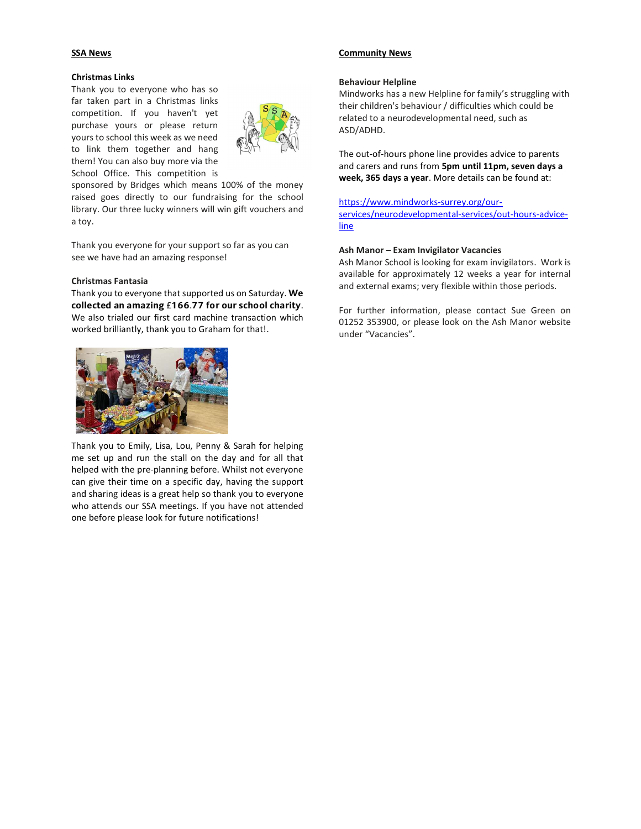# SSA News

## Christmas Links

Thank you to everyone who has so far taken part in a Christmas links competition. If you haven't yet purchase yours or please return yours to school this week as we need to link them together and hang them! You can also buy more via the School Office. This competition is



sponsored by Bridges which means 100% of the money raised goes directly to our fundraising for the school library. Our three lucky winners will win gift vouchers and a toy.

Thank you everyone for your support so far as you can see we have had an amazing response!

## Christmas Fantasia

Thank you to everyone that supported us on Saturday. We collected an amazing £166.77 for our school charity. We also trialed our first card machine transaction which worked brilliantly, thank you to Graham for that!.



Thank you to Emily, Lisa, Lou, Penny & Sarah for helping me set up and run the stall on the day and for all that helped with the pre-planning before. Whilst not everyone can give their time on a specific day, having the support and sharing ideas is a great help so thank you to everyone who attends our SSA meetings. If you have not attended one before please look for future notifications!

# Community News

#### Behaviour Helpline

Mindworks has a new Helpline for family's struggling with their children's behaviour / difficulties which could be related to a neurodevelopmental need, such as ASD/ADHD.

The out-of-hours phone line provides advice to parents and carers and runs from 5pm until 11pm, seven days a week, 365 days a year. More details can be found at:

https://www.mindworks-surrey.org/ourservices/neurodevelopmental-services/out-hours-adviceline

#### Ash Manor – Exam Invigilator Vacancies

Ash Manor School is looking for exam invigilators. Work is available for approximately 12 weeks a year for internal and external exams; very flexible within those periods.

For further information, please contact Sue Green on 01252 353900, or please look on the Ash Manor website under "Vacancies".